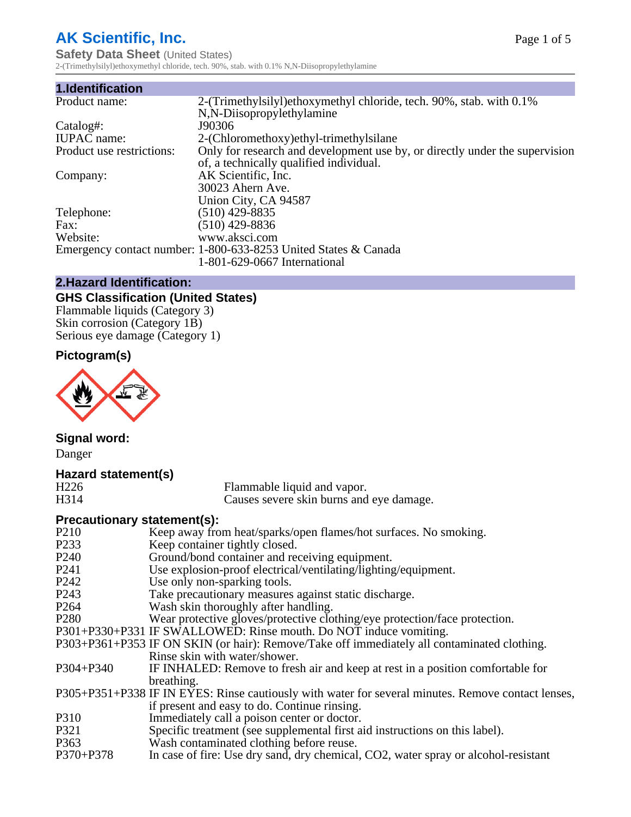# **AK Scientific, Inc.**

**Safety Data Sheet (United States)** 2-(Trimethylsilyl)ethoxymethyl chloride, tech. 90%, stab. with 0.1% N,N-Diisopropylethylamine

| 1.Identification          |                                                                             |
|---------------------------|-----------------------------------------------------------------------------|
| Product name:             | 2-(Trimethylsilyl)ethoxymethyl chloride, tech. 90%, stab. with 0.1%         |
|                           | N,N-Diisopropylethylamine                                                   |
| Catalog#:                 | J90306                                                                      |
| <b>IUPAC</b> name:        | 2-(Chloromethoxy) ethyl-trimethylsilane                                     |
| Product use restrictions: | Only for research and development use by, or directly under the supervision |
|                           | of, a technically qualified individual.                                     |
| Company:                  | AK Scientific, Inc.                                                         |
|                           | 30023 Ahern Ave.                                                            |
|                           | Union City, CA 94587                                                        |
| Telephone:                | $(510)$ 429-8835                                                            |
| Fax:                      | (510) 429-8836                                                              |
| Website:                  | www.aksci.com                                                               |
|                           | Emergency contact number: 1-800-633-8253 United States & Canada             |
|                           | 1-801-629-0667 International                                                |

# **2.Hazard Identification:**

# **GHS Classification (United States)**

Flammable liquids (Category 3) Skin corrosion (Category 1B) Serious eye damage (Category 1)

# **Pictogram(s)**



**Signal word:** Danger

# **Hazard statement(s)**

| H <sub>226</sub> | Flammable liquid and vapor.              |  |
|------------------|------------------------------------------|--|
| H314             | Causes severe skin burns and eye damage. |  |

# **Precautionary statement(s):**

| P <sub>210</sub> | Keep away from heat/sparks/open flames/hot surfaces. No smoking.                                   |
|------------------|----------------------------------------------------------------------------------------------------|
| P233             | Keep container tightly closed.                                                                     |
| P <sub>240</sub> | Ground/bond container and receiving equipment.                                                     |
| P241             | Use explosion-proof electrical/ventilating/lighting/equipment.                                     |
| P242             | Use only non-sparking tools.                                                                       |
| P243             | Take precautionary measures against static discharge.                                              |
| P <sub>264</sub> | Wash skin thoroughly after handling.                                                               |
| P280             | Wear protective gloves/protective clothing/eye protection/face protection.                         |
|                  | P301+P330+P331 IF SWALLOWED: Rinse mouth. Do NOT induce vomiting.                                  |
|                  | P303+P361+P353 IF ON SKIN (or hair): Remove/Take off immediately all contaminated clothing.        |
|                  | Rinse skin with water/shower.                                                                      |
| P304+P340        | IF INHALED: Remove to fresh air and keep at rest in a position comfortable for                     |
|                  | breathing.                                                                                         |
|                  | P305+P351+P338 IF IN EYES: Rinse cautiously with water for several minutes. Remove contact lenses, |
|                  | if present and easy to do. Continue rinsing.                                                       |
| P310             | Immediately call a poison center or doctor.                                                        |
| P321             | Specific treatment (see supplemental first aid instructions on this label).                        |
| P363             | Wash contaminated clothing before reuse.                                                           |
| P370+P378        | In case of fire: Use dry sand, dry chemical, CO2, water spray or alcohol-resistant                 |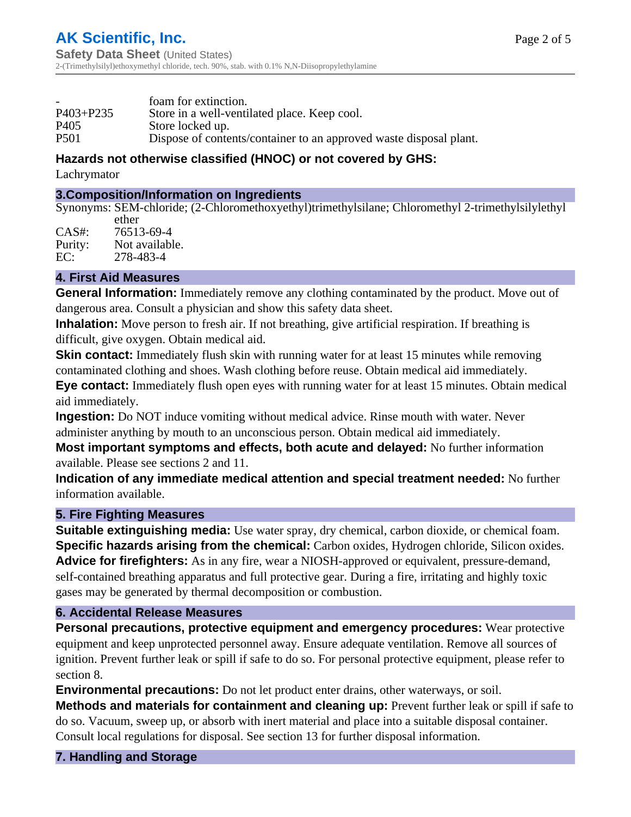|           | foam for extinction.                                               |
|-----------|--------------------------------------------------------------------|
| P403+P235 | Store in a well-ventilated place. Keep cool.                       |
| P405      | Store locked up.                                                   |
| P501      | Dispose of contents/container to an approved waste disposal plant. |

# **Hazards not otherwise classified (HNOC) or not covered by GHS:**

Lachrymator

#### **3.Composition/Information on Ingredients**

Synonyms: SEM-chloride; (2-Chloromethoxyethyl)trimethylsilane; Chloromethyl 2-trimethylsilylethyl ether

CAS#: 76513-69-4 Purity: Not available.<br>EC: 278-483-4 278-483-4

## **4. First Aid Measures**

**General Information:** Immediately remove any clothing contaminated by the product. Move out of dangerous area. Consult a physician and show this safety data sheet.

**Inhalation:** Move person to fresh air. If not breathing, give artificial respiration. If breathing is difficult, give oxygen. Obtain medical aid.

**Skin contact:** Immediately flush skin with running water for at least 15 minutes while removing contaminated clothing and shoes. Wash clothing before reuse. Obtain medical aid immediately.

**Eye contact:** Immediately flush open eyes with running water for at least 15 minutes. Obtain medical aid immediately.

**Ingestion:** Do NOT induce vomiting without medical advice. Rinse mouth with water. Never administer anything by mouth to an unconscious person. Obtain medical aid immediately.

**Most important symptoms and effects, both acute and delayed:** No further information available. Please see sections 2 and 11.

**Indication of any immediate medical attention and special treatment needed:** No further information available.

#### **5. Fire Fighting Measures**

**Suitable extinguishing media:** Use water spray, dry chemical, carbon dioxide, or chemical foam. **Specific hazards arising from the chemical:** Carbon oxides, Hydrogen chloride, Silicon oxides. **Advice for firefighters:** As in any fire, wear a NIOSH-approved or equivalent, pressure-demand, self-contained breathing apparatus and full protective gear. During a fire, irritating and highly toxic gases may be generated by thermal decomposition or combustion.

#### **6. Accidental Release Measures**

**Personal precautions, protective equipment and emergency procedures:** Wear protective equipment and keep unprotected personnel away. Ensure adequate ventilation. Remove all sources of ignition. Prevent further leak or spill if safe to do so. For personal protective equipment, please refer to section 8.

**Environmental precautions:** Do not let product enter drains, other waterways, or soil.

**Methods and materials for containment and cleaning up:** Prevent further leak or spill if safe to do so. Vacuum, sweep up, or absorb with inert material and place into a suitable disposal container. Consult local regulations for disposal. See section 13 for further disposal information.

**7. Handling and Storage**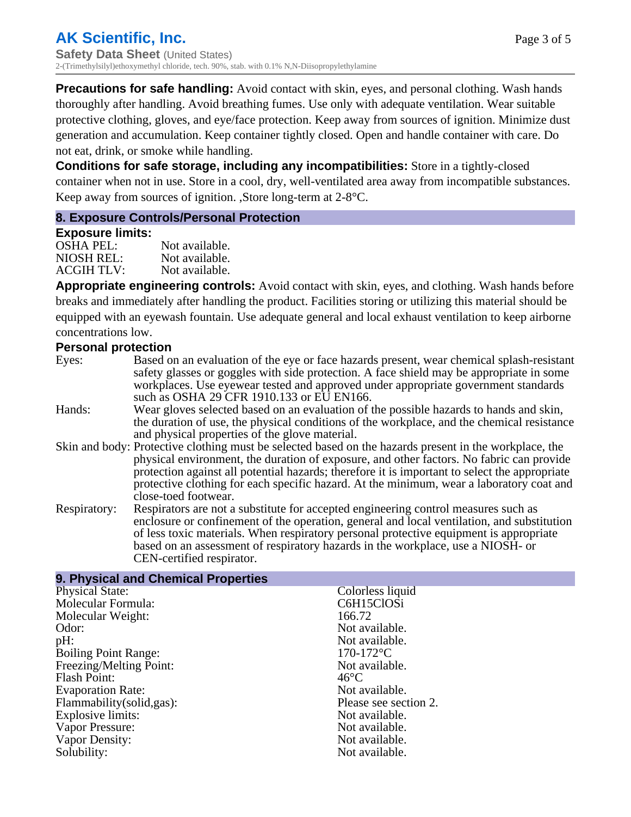**Precautions for safe handling:** Avoid contact with skin, eyes, and personal clothing. Wash hands thoroughly after handling. Avoid breathing fumes. Use only with adequate ventilation. Wear suitable protective clothing, gloves, and eye/face protection. Keep away from sources of ignition. Minimize dust generation and accumulation. Keep container tightly closed. Open and handle container with care. Do not eat, drink, or smoke while handling.

**Conditions for safe storage, including any incompatibilities:** Store in a tightly-closed container when not in use. Store in a cool, dry, well-ventilated area away from incompatible substances. Keep away from sources of ignition. ,Store long-term at 2-8°C.

#### **8. Exposure Controls/Personal Protection**

#### **Exposure limits:**

| OSHA PEL:  | Not available. |
|------------|----------------|
| NIOSH REL: | Not available. |
| ACGIH TLV: | Not available. |

**Appropriate engineering controls:** Avoid contact with skin, eyes, and clothing. Wash hands before breaks and immediately after handling the product. Facilities storing or utilizing this material should be equipped with an eyewash fountain. Use adequate general and local exhaust ventilation to keep airborne concentrations low.

#### **Personal protection**

| Eyes:        | Based on an evaluation of the eye or face hazards present, wear chemical splash-resistant<br>safety glasses or goggles with side protection. A face shield may be appropriate in some<br>workplaces. Use eyewear tested and approved under appropriate government standards |
|--------------|-----------------------------------------------------------------------------------------------------------------------------------------------------------------------------------------------------------------------------------------------------------------------------|
|              | such as OSHA 29 CFR 1910.133 or EU EN166.                                                                                                                                                                                                                                   |
| Hands:       | Wear gloves selected based on an evaluation of the possible hazards to hands and skin,                                                                                                                                                                                      |
|              | the duration of use, the physical conditions of the workplace, and the chemical resistance                                                                                                                                                                                  |
|              | and physical properties of the glove material.                                                                                                                                                                                                                              |
|              | Skin and body: Protective clothing must be selected based on the hazards present in the workplace, the                                                                                                                                                                      |
|              | physical environment, the duration of exposure, and other factors. No fabric can provide                                                                                                                                                                                    |
|              | protection against all potential hazards; therefore it is important to select the appropriate                                                                                                                                                                               |
|              | protective clothing for each specific hazard. At the minimum, wear a laboratory coat and                                                                                                                                                                                    |
|              | close-toed footwear.                                                                                                                                                                                                                                                        |
| Respiratory: | Respirators are not a substitute for accepted engineering control measures such as<br>enclosure or confinement of the operation, general and local ventilation, and substitution<br>of less toxic materials. When respiratory personal protective equipment is appropriate  |
|              | based on an assessment of respiratory hazards in the workplace, use a NIOSH- or                                                                                                                                                                                             |
|              | CEN-certified respirator.                                                                                                                                                                                                                                                   |

| 9. Physical and Chemical Properties |                       |
|-------------------------------------|-----------------------|
| <b>Physical State:</b>              | Colorless liquid      |
| Molecular Formula:                  | C6H15ClOSi            |
| Molecular Weight:                   | 166.72                |
| Odor:                               | Not available.        |
| pH:                                 | Not available.        |
| <b>Boiling Point Range:</b>         | $170-172$ °C          |
| Freezing/Melting Point:             | Not available.        |
| <b>Flash Point:</b>                 | $46^{\circ}$ C        |
| <b>Evaporation Rate:</b>            | Not available.        |
| Flammability(solid,gas):            | Please see section 2. |
| Explosive limits:                   | Not available.        |
| Vapor Pressure:                     | Not available.        |
| Vapor Density:                      | Not available.        |
| Solubility:                         | Not available.        |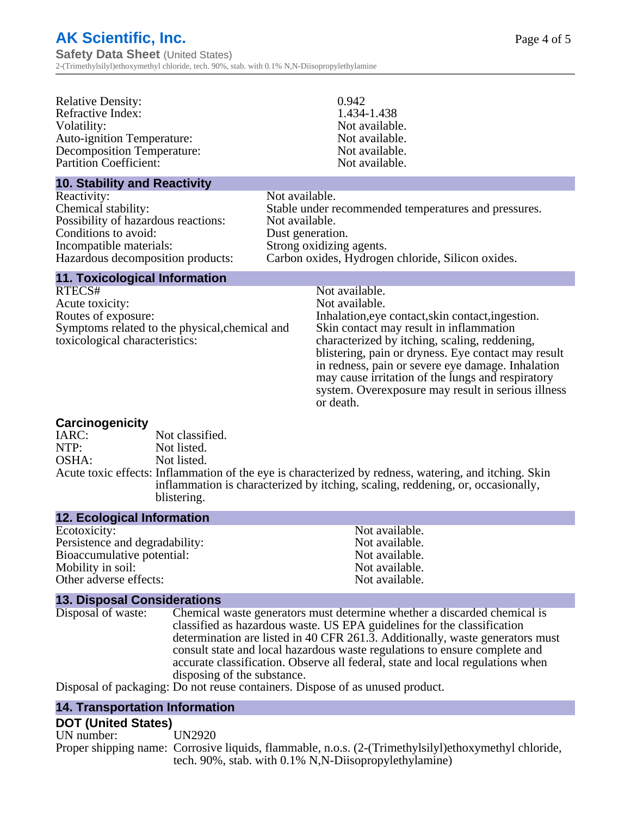Relative Density: 0.942<br>Refractive Index: 1.434-1.438 Refractive Index: Volatility: Not available. Auto-ignition Temperature: Not available. Decomposition Temperature: Not available. Partition Coefficient: Not available.

#### **10. Stability and Reactivity**

Reactivity: Not available. Possibility of hazardous reactions: Conditions to avoid:<br>
Incompatible materials:<br>
Strong oxidizing

Chemical stability: Stable under recommended temperatures and pressures. Strong oxidizing agents. Hazardous decomposition products: Carbon oxides, Hydrogen chloride, Silicon oxides.

# **11. Toxicological Information**

RTECS# Not available. Acute toxicity:<br>
Routes of exposure:<br>
Routes of exposure:<br>
Inhalation.eve Symptoms related to the physical,chemical and toxicological characteristics:

# Inhalation, eye contact, skin contact, ingestion. Skin contact may result in inflammation characterized by itching, scaling, reddening, blistering, pain or dryness. Eye contact may result in redness, pain or severe eye damage. Inhalation may cause irritation of the lungs and respiratory system. Overexposure may result in serious illness or death.

# **Carcinogenicity**

IARC: Not classified.<br>
NOTP: Not listed. Not listed. OSHA: Not listed. Acute toxic effects: Inflammation of the eye is characterized by redness, watering, and itching. Skin inflammation is characterized by itching, scaling, reddening, or, occasionally, blistering.

#### **12. Ecological Information**

Ecotoxicity: Not available. Persistence and degradability:<br>
Bioaccumulative potential:<br>
Not available.<br>
Not available. Bioaccumulative potential:<br>
Motify in soil:<br>
Motify in soil:<br>
Not available. Mobility in soil: Other adverse effects: Not available.

#### **13. Disposal Considerations**

Disposal of waste: Chemical waste generators must determine whether a discarded chemical is classified as hazardous waste. US EPA guidelines for the classification determination are listed in 40 CFR 261.3. Additionally, waste generators must consult state and local hazardous waste regulations to ensure complete and accurate classification. Observe all federal, state and local regulations when disposing of the substance.

Disposal of packaging: Do not reuse containers. Dispose of as unused product.

#### **14. Transportation Information**

#### **DOT (United States)**

UN number: UN2920 Proper shipping name: Corrosive liquids, flammable, n.o.s. (2-(Trimethylsilyl)ethoxymethyl chloride, tech. 90%, stab. with 0.1% N,N-Diisopropylethylamine)